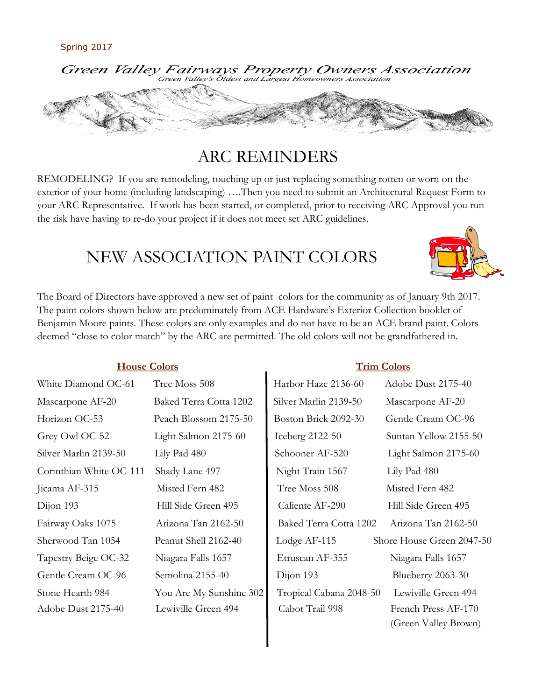

# ARC REMINDERS

REMODELING? If you are remodeling, touching up or just replacing something rotten or worn on the exterior of your home (including landscaping) ….Then you need to submit an Architectural Request Form to your ARC Representative. If work has been started, or completed, prior to receiving ARC Approval you run the risk have having to re-do your project if it does not meet set ARC guidelines.

# NEW ASSOCIATION PAINT COLORS



The Board of Directors have approved a new set of paint colors for the community as of January 9th 2017. The paint colors shown below are predominately from ACE Hardware's Exterior Collection booklet of Benjamin Moore paints. These colors are only examples and do not have to be an ACE brand paint. Colors deemed "close to color match" by the ARC are permitted. The old colors will not be grandfathered in.

### **House Colors Trim Colors**

| White Diamond OC-61     | Tree Moss 508           | Harbor Haze 2136-60     | Adobe Dust 2175-40        |
|-------------------------|-------------------------|-------------------------|---------------------------|
| Mascarpone AF-20        | Baked Terra Cotta 1202  | Silver Marlin 2139-50   | Mascarpone AF-20          |
| Horizon OC-53           | Peach Blossom 2175-50   | Boston Brick 2092-30    | Gentle Cream OC-96        |
| Grey Owl OC-52          | Light Salmon 2175-60    | Iceberg 2122-50         | Suntan Yellow 2155-50     |
| Silver Marlin 2139-50   | Lily Pad 480            | Schooner AF-520         | Light Salmon 2175-60      |
| Corinthian White OC-111 | Shady Lane 497          | Night Train 1567        | Lily Pad 480              |
| Jicama AF-315           | Misted Fern 482         | Tree Moss 508           | Misted Fern 482           |
| Dijon 193               | Hill Side Green 495     | Caliente AF-290         | Hill Side Green 495       |
| Fairway Oaks 1075       | Arizona Tan 2162-50     | Baked Terra Cotta 1202  | Arizona Tan 2162-50       |
| Sherwood Tan 1054       | Peanut Shell 2162-40    | Lodge AF-115            | Shore House Green 2047-50 |
| Tapestry Beige OC-32    | Niagara Falls 1657      | Etruscan AF-355         | Niagara Falls 1657        |
| Gentle Cream OC-96      | Semolina 2155-40        | Dijon 193               | Blueberry 2063-30         |
| Stone Hearth 984        | You Are My Sunshine 302 | Tropical Cabana 2048-50 | Lewiville Green 494       |
| Adobe Dust 2175-40      | Lewiville Green 494     | Cabot Trail 998         | French Press AF-170       |
|                         |                         |                         | (Green Valley Brown)      |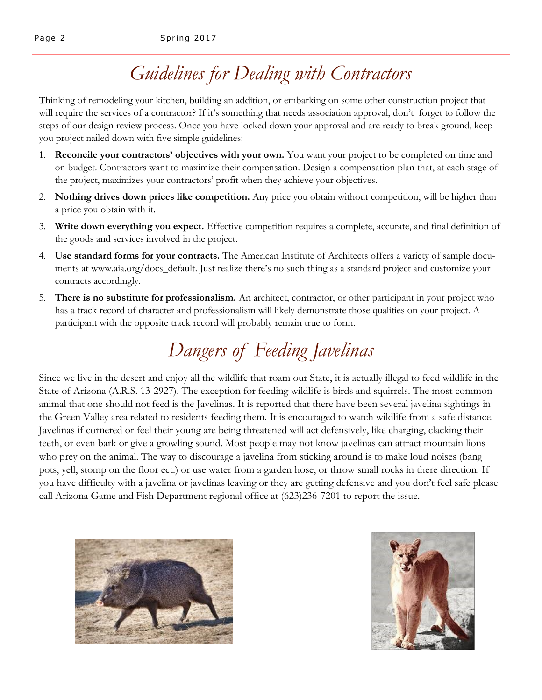# *Guidelines for Dealing with Contractors*

Thinking of remodeling your kitchen, building an addition, or embarking on some other construction project that will require the services of a contractor? If it's something that needs association approval, don't forget to follow the steps of our design review process. Once you have locked down your approval and are ready to break ground, keep you project nailed down with five simple guidelines:

- 1. **Reconcile your contractors' objectives with your own.** You want your project to be completed on time and on budget. Contractors want to maximize their compensation. Design a compensation plan that, at each stage of the project, maximizes your contractors' profit when they achieve your objectives.
- 2. **Nothing drives down prices like competition.** Any price you obtain without competition, will be higher than a price you obtain with it.
- 3. **Write down everything you expect.** Effective competition requires a complete, accurate, and final definition of the goods and services involved in the project.
- 4. **Use standard forms for your contracts.** The American Institute of Architects offers a variety of sample documents at www.aia.org/docs\_default. Just realize there's no such thing as a standard project and customize your contracts accordingly.
- 5. **There is no substitute for professionalism.** An architect, contractor, or other participant in your project who has a track record of character and professionalism will likely demonstrate those qualities on your project. A participant with the opposite track record will probably remain true to form.

# *Dangers of Feeding Javelinas*

Since we live in the desert and enjoy all the wildlife that roam our State, it is actually illegal to feed wildlife in the State of Arizona (A.R.S. 13-2927). The exception for feeding wildlife is birds and squirrels. The most common animal that one should not feed is the Javelinas. It is reported that there have been several javelina sightings in the Green Valley area related to residents feeding them. It is encouraged to watch wildlife from a safe distance. Javelinas if cornered or feel their young are being threatened will act defensively, like charging, clacking their teeth, or even bark or give a growling sound. Most people may not know javelinas can attract mountain lions who prey on the animal. The way to discourage a javelina from sticking around is to make loud noises (bang pots, yell, stomp on the floor ect.) or use water from a garden hose, or throw small rocks in there direction. If you have difficulty with a javelina or javelinas leaving or they are getting defensive and you don't feel safe please call Arizona Game and Fish Department regional office at (623)236-7201 to report the issue.



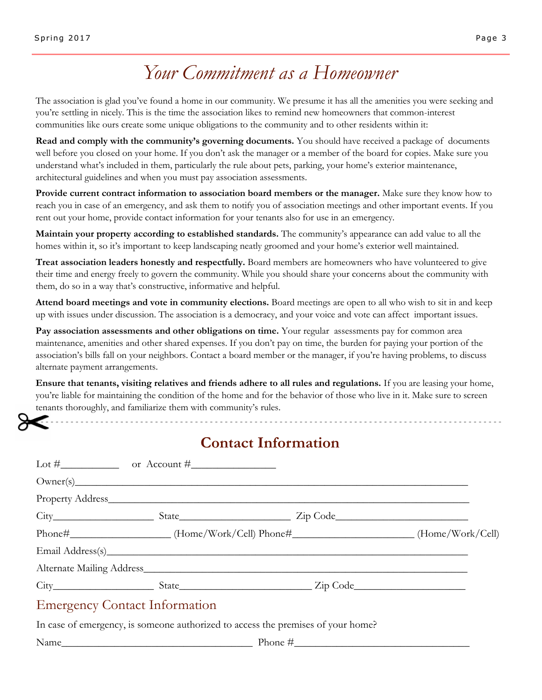# *Your Commitment as a Homeowner*

The association is glad you've found a home in our community. We presume it has all the amenities you were seeking and you're settling in nicely. This is the time the association likes to remind new homeowners that common-interest communities like ours create some unique obligations to the community and to other residents within it:

**Read and comply with the community's governing documents.** You should have received a package of documents well before you closed on your home. If you don't ask the manager or a member of the board for copies. Make sure you understand what's included in them, particularly the rule about pets, parking, your home's exterior maintenance, architectural guidelines and when you must pay association assessments.

**Provide current contract information to association board members or the manager.** Make sure they know how to reach you in case of an emergency, and ask them to notify you of association meetings and other important events. If you rent out your home, provide contact information for your tenants also for use in an emergency.

**Maintain your property according to established standards.** The community's appearance can add value to all the homes within it, so it's important to keep landscaping neatly groomed and your home's exterior well maintained.

**Treat association leaders honestly and respectfully.** Board members are homeowners who have volunteered to give their time and energy freely to govern the community. While you should share your concerns about the community with them, do so in a way that's constructive, informative and helpful.

**Attend board meetings and vote in community elections.** Board meetings are open to all who wish to sit in and keep up with issues under discussion. The association is a democracy, and your voice and vote can affect important issues.

**Pay association assessments and other obligations on time.** Your regular assessments pay for common area maintenance, amenities and other shared expenses. If you don't pay on time, the burden for paying your portion of the association's bills fall on your neighbors. Contact a board member or the manager, if you're having problems, to discuss alternate payment arrangements.

**Ensure that tenants, visiting relatives and friends adhere to all rules and regulations.** If you are leasing your home, you're liable for maintaining the condition of the home and for the behavior of those who live in it. Make sure to screen tenants thoroughly, and familiarize them with community's rules.

## **Contact Information**

- - - - - - - - - - - - - - - - - - - - - - - - - - - - - - - - - - - - - - - - - - - - - - - - - - - - - - - - - - - - - - - - - - - - - - - - - - - - - - - - - - - - - - - - - - - - - -

|                                      | Owner(s)                                                                                                               |  |
|--------------------------------------|------------------------------------------------------------------------------------------------------------------------|--|
|                                      |                                                                                                                        |  |
|                                      |                                                                                                                        |  |
|                                      | Phone#________________________(Home/Work/Cell) Phone#_______________________(Home/Work/Cell)                           |  |
|                                      | Email Address(s)                                                                                                       |  |
|                                      | Alternate Mailing Address <b>Executive Contract Contract Address</b> 2014 and 2015 and 2016 and 2017 and 2017 and 2017 |  |
|                                      |                                                                                                                        |  |
| <b>Emergency Contact Information</b> |                                                                                                                        |  |

In case of emergency, is someone authorized to access the premises of your home?

 $Name$  Phone  $\#$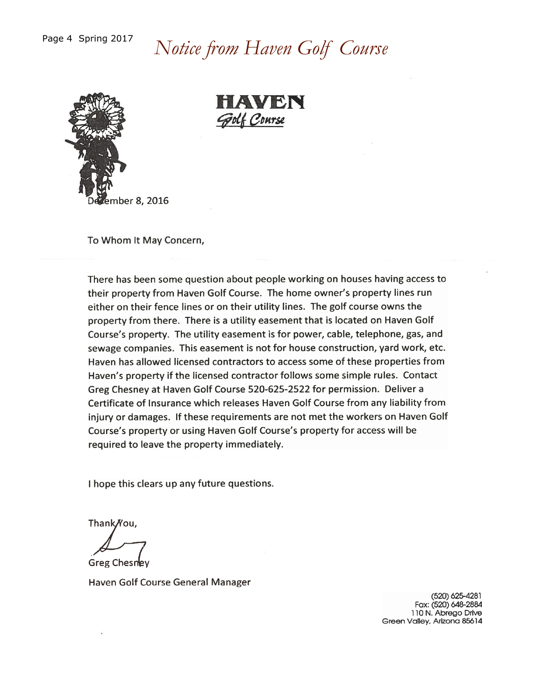# Notice from Haven Golf Course



HAVEN Golf Course

To Whom It May Concern,

There has been some question about people working on houses having access to their property from Haven Golf Course. The home owner's property lines run either on their fence lines or on their utility lines. The golf course owns the property from there. There is a utility easement that is located on Haven Golf Course's property. The utility easement is for power, cable, telephone, gas, and sewage companies. This easement is not for house construction, yard work, etc. Haven has allowed licensed contractors to access some of these properties from Haven's property if the licensed contractor follows some simple rules. Contact Greg Chesney at Haven Golf Course 520-625-2522 for permission. Deliver a Certificate of Insurance which releases Haven Golf Course from any liability from injury or damages. If these requirements are not met the workers on Haven Golf Course's property or using Haven Golf Course's property for access will be required to leave the property immediately.

I hope this clears up any future questions.

Thank/You,

Greg Chesney

Haven Golf Course General Manager

(520) 625-4281 Fax: (520) 648-2884 110 N. Abrego Drive Green Valley, Arizona 85614